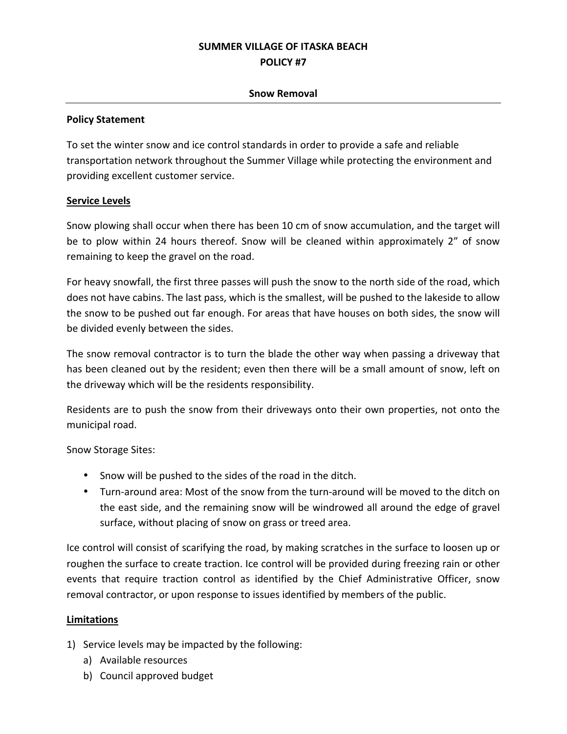# **SUMMER VILLAGE OF ITASKA BEACH POLICY #7**

### **Snow Removal**

#### **Policy Statement**

To set the winter snow and ice control standards in order to provide a safe and reliable transportation network throughout the Summer Village while protecting the environment and providing excellent customer service.

## **Service Levels**

Snow plowing shall occur when there has been 10 cm of snow accumulation, and the target will be to plow within 24 hours thereof. Snow will be cleaned within approximately 2" of snow remaining to keep the gravel on the road.

For heavy snowfall, the first three passes will push the snow to the north side of the road, which does not have cabins. The last pass, which is the smallest, will be pushed to the lakeside to allow the snow to be pushed out far enough. For areas that have houses on both sides, the snow will be divided evenly between the sides.

The snow removal contractor is to turn the blade the other way when passing a driveway that has been cleaned out by the resident; even then there will be a small amount of snow, left on the driveway which will be the residents responsibility.

Residents are to push the snow from their driveways onto their own properties, not onto the municipal road.

Snow Storage Sites: 

- Snow will be pushed to the sides of the road in the ditch.
- Turn-around area: Most of the snow from the turn-around will be moved to the ditch on the east side, and the remaining snow will be windrowed all around the edge of gravel surface, without placing of snow on grass or treed area.

Ice control will consist of scarifying the road, by making scratches in the surface to loosen up or roughen the surface to create traction. Ice control will be provided during freezing rain or other events that require traction control as identified by the Chief Administrative Officer, snow removal contractor, or upon response to issues identified by members of the public.

## **Limitations**

- 1) Service levels may be impacted by the following:
	- a) Available resources
	- b) Council approved budget